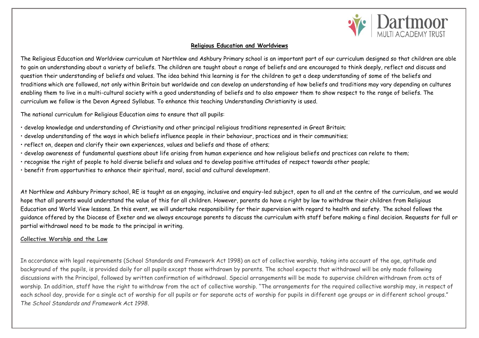

## **Religious Education and Worldviews**

The Religious Education and Worldview curriculum at Northlew and Ashbury Primary school is an important part of our curriculum designed so that children are able to gain an understanding about a variety of beliefs. The children are taught about a range of beliefs and are encouraged to think deeply, reflect and discuss and question their understanding of beliefs and values. The idea behind this learning is for the children to get a deep understanding of some of the beliefs and traditions which are followed, not only within Britain but worldwide and can develop an understanding of how beliefs and traditions may vary depending on cultures enabling them to live in a multi-cultural society with a good understanding of beliefs and to also empower them to show respect to the range of beliefs. The curriculum we follow is the Devon Agreed Syllabus. To enhance this teaching Understanding Christianity is used.

The national curriculum for Religious Education aims to ensure that all pupils:

- develop knowledge and understanding of Christianity and other principal religious traditions represented in Great Britain;
- develop understanding of the ways in which beliefs influence people in their behaviour, practices and in their communities;
- reflect on, deepen and clarify their own experiences, values and beliefs and those of others;
- develop awareness of fundamental questions about life arising from human experience and how religious beliefs and practices can relate to them;
- recognise the right of people to hold diverse beliefs and values and to develop positive attitudes of respect towards other people;
- benefit from opportunities to enhance their spiritual, moral, social and cultural development.

At Northlew and Ashbury Primary school, RE is taught as an engaging, inclusive and enquiry-led subject, open to all and at the centre of the curriculum, and we would hope that all parents would understand the value of this for all children. However, parents do have a right by law to withdraw their children from Religious Education and World View lessons. In this event, we will undertake responsibility for their supervision with regard to health and safety. The school follows the guidance offered by the Diocese of Exeter and we always encourage parents to discuss the curriculum with staff before making a final decision. Requests for full or partial withdrawal need to be made to the principal in writing.

## **Collective Worship and the Law**

In accordance with legal requirements (School Standards and Framework Act 1998) an act of collective worship, taking into account of the age, aptitude and background of the pupils, is provided daily for all pupils except those withdrawn by parents. The school expects that withdrawal will be only made following discussions with the Principal, followed by written confirmation of withdrawal. Special arrangements will be made to supervise children withdrawn from acts of worship. In addition, staff have the right to withdraw from the act of collective worship. "The arrangements for the required collective worship may, in respect of each school day, provide for a single act of worship for all pupils or for separate acts of worship for pupils in different age groups or in different school groups." *The School Standards and Framework Act 1998.*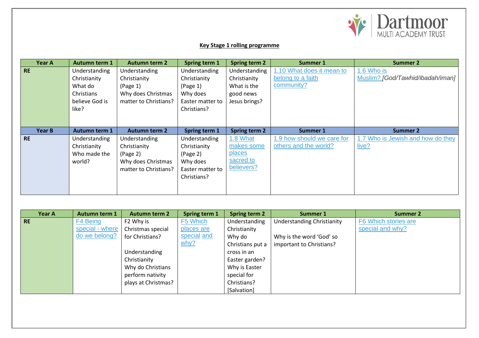

## **Key Stage 1 rolling programme**

| Year A        | <b>Autumn term 1</b> | <b>Autumn term 2</b>  | <b>Spring term 1</b> | <b>Spring term 2</b> | Summer 1                   | <b>Summer 2</b>                   |
|---------------|----------------------|-----------------------|----------------------|----------------------|----------------------------|-----------------------------------|
| <b>RE</b>     | Understanding        | Understanding         | Understanding        | Understanding        | 1.10 What does it mean to  | 1.6 Who is                        |
|               | Christianity         | Christianity          | Christianity         | Christianity         | belong to a faith          | Muslim? [God/Tawhid/ibadah/iman]  |
|               | What do              | (Page 1)              | (Page 1)             | What is the          | community?                 |                                   |
|               | Christians           | Why does Christmas    | Why does             | good news            |                            |                                   |
|               | believe God is       | matter to Christians? | Easter matter to     | Jesus brings?        |                            |                                   |
|               | like?                |                       | Christians?          |                      |                            |                                   |
|               |                      |                       |                      |                      |                            |                                   |
|               |                      |                       |                      |                      |                            |                                   |
|               |                      |                       |                      |                      |                            |                                   |
| <b>Year B</b> | <b>Autumn term 1</b> | <b>Autumn term 2</b>  | Spring term 1        | <b>Spring term 2</b> | Summer 1                   | <b>Summer 2</b>                   |
| <b>RE</b>     | Understanding        | <b>Understanding</b>  | Understanding        | 1.8 What             | 1.9 how should we care for | 1.7 Who is Jewish and how do they |
|               | Christianity         | Christianity          | Christianity         | makes some           | others and the world?      | live?                             |
|               | Who made the         | (Page 2)              | (Page 2)             | places               |                            |                                   |
|               | world?               | Why does Christmas    | Why does             | sacred to            |                            |                                   |
|               |                      | matter to Christians? | Easter matter to     | believers?           |                            |                                   |
|               |                      |                       | Christians?          |                      |                            |                                   |
|               |                      |                       |                      |                      |                            |                                   |

| <b>Year A</b> | <b>Autumn term 1</b> | <b>Autumn term 2</b> | Spring term 1 | <b>Spring term 2</b> | Summer 1                          | <b>Summer 2</b>      |
|---------------|----------------------|----------------------|---------------|----------------------|-----------------------------------|----------------------|
| <b>RE</b>     | F4 Being             | F2 Why is            | F5 Which      | Understanding        | <b>Understanding Christianity</b> | F6 Which stories are |
|               | special - where      | Christmas special    | places are    | Christianity         |                                   | special and why?     |
|               | do we belong?        | for Christians?      | special and   | Why do               | Why is the word 'God' so          |                      |
|               |                      |                      | why?          | Christians put a     | important to Christians?          |                      |
|               |                      | Understanding        |               | cross in an          |                                   |                      |
|               |                      | Christianity         |               | Easter garden?       |                                   |                      |
|               |                      | Why do Christians    |               | Why is Easter        |                                   |                      |
|               |                      | perform nativity     |               | special for          |                                   |                      |
|               |                      | plays at Christmas?  |               | Christians?          |                                   |                      |
|               |                      |                      |               | [Salvation]          |                                   |                      |